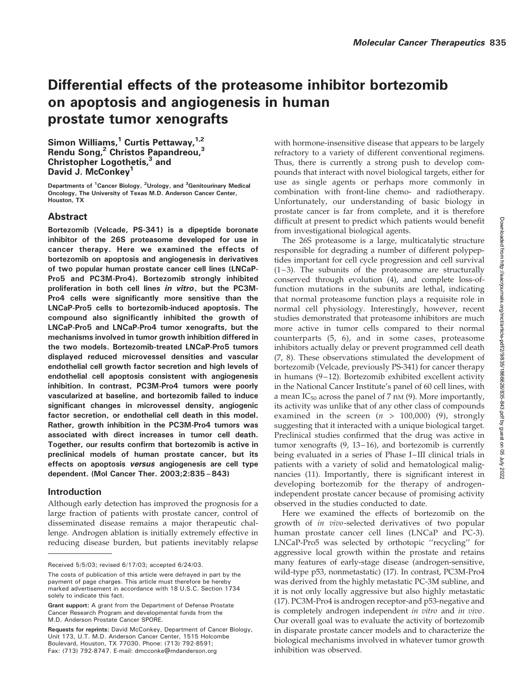# Differential effects of the proteasome inhibitor bortezomib on apoptosis and angiogenesis in human prostate tumor xenografts

Simon Williams, $1$  Curtis Pettaway, $1.2$ Rendu Song,<sup>2</sup> Christos Papandreou,<sup>3</sup> Christopher Logothetis,<sup>3</sup> and David J. McConkey<sup>1</sup>

Departments of <sup>1</sup>Cancer Biology, <sup>2</sup>Urology, and <sup>3</sup>Genitourinary Medical Oncology, The University of Texas M.D. Anderson Cancer Center, Houston, TX

# Abstract

Bortezomib (Velcade, PS-341) is a dipeptide boronate inhibitor of the 26S proteasome developed for use in cancer therapy. Here we examined the effects of bortezomib on apoptosis and angiogenesis in derivatives of two popular human prostate cancer cell lines (LNCaP-Pro5 and PC3M-Pro4). Bortezomib strongly inhibited proliferation in both cell lines in vitro, but the PC3M-Pro4 cells were significantly more sensitive than the LNCaP-Pro5 cells to bortezomib-induced apoptosis. The compound also significantly inhibited the growth of LNCaP-Pro5 and LNCaP-Pro4 tumor xenografts, but the mechanisms involved in tumor growth inhibition differed in the two models. Bortezomib-treated LNCaP-Pro5 tumors displayed reduced microvessel densities and vascular endothelial cell growth factor secretion and high levels of endothelial cell apoptosis consistent with angiogenesis inhibition. In contrast, PC3M-Pro4 tumors were poorly vascularized at baseline, and bortezomib failed to induce significant changes in microvessel density, angiogenic factor secretion, or endothelial cell death in this model. Rather, growth inhibition in the PC3M-Pro4 tumors was associated with direct increases in tumor cell death. Together, our results confirm that bortezomib is active in preclinical models of human prostate cancer, but its effects on apoptosis versus angiogenesis are cell type dependent. (Mol Cancer Ther. 2003;2:835–843)

# Introduction

Although early detection has improved the prognosis for a large fraction of patients with prostate cancer, control of disseminated disease remains a major therapeutic challenge. Androgen ablation is initially extremely effective in reducing disease burden, but patients inevitably relapse with hormone-insensitive disease that appears to be largely refractory to a variety of different conventional regimens. Thus, there is currently a strong push to develop compounds that interact with novel biological targets, either for use as single agents or perhaps more commonly in combination with front-line chemo- and radiotherapy. Unfortunately, our understanding of basic biology in prostate cancer is far from complete, and it is therefore difficult at present to predict which patients would benefit from investigational biological agents.

The 26S proteasome is a large, multicatalytic structure responsible for degrading a number of different polypeptides important for cell cycle progression and cell survival (1–3). The subunits of the proteasome are structurally conserved through evolution (4), and complete loss-offunction mutations in the subunits are lethal, indicating that normal proteasome function plays a requisite role in normal cell physiology. Interestingly, however, recent studies demonstrated that proteasome inhibitors are much more active in tumor cells compared to their normal counterparts (5, 6), and in some cases, proteasome inhibitors actually delay or prevent programmed cell death (7, 8). These observations stimulated the development of bortezomib (Velcade, previously PS-341) for cancer therapy in humans (9–12). Bortezomib exhibited excellent activity in the National Cancer Institute's panel of 60 cell lines, with a mean  $IC_{50}$  across the panel of 7 nM (9). More importantly, its activity was unlike that of any other class of compounds examined in the screen  $(n > 100,000)$  (9), strongly suggesting that it interacted with a unique biological target. Preclinical studies confirmed that the drug was active in tumor xenografts (9, 13–16), and bortezomib is currently being evaluated in a series of Phase I–III clinical trials in patients with a variety of solid and hematological malignancies (11). Importantly, there is significant interest in developing bortezomib for the therapy of androgenindependent prostate cancer because of promising activity observed in the studies conducted to date.

Here we examined the effects of bortezomib on the growth of in vivo-selected derivatives of two popular human prostate cancer cell lines (LNCaP and PC-3). LNCaP-Pro5 was selected by orthotopic ''recycling'' for aggressive local growth within the prostate and retains many features of early-stage disease (androgen-sensitive, wild-type p53, nonmetastatic) (17). In contrast, PC3M-Pro4 was derived from the highly metastatic PC-3M subline, and it is not only locally aggressive but also highly metastatic (17). PC3M-Pro4 is androgen receptor-and p53-negative and is completely androgen independent in vitro and in vivo. Our overall goal was to evaluate the activity of bortezomib in disparate prostate cancer models and to characterize the biological mechanisms involved in whatever tumor growth inhibition was observed.

Received 5/5/03; revised 6/17/03; accepted 6/24/03.

The costs of publication of this article were defrayed in part by the payment of page charges. This article must therefore be hereby marked advertisement in accordance with 18 U.S.C. Section 1734 solely to indicate this fact.

Grant support: A grant from the Department of Defense Prostate Cancer Research Program and developmental funds from the M.D. Anderson Prostate Cancer SPORE.

Requests for reprints: David McConkey, Department of Cancer Biology, Unit 173, U.T. M.D. Anderson Cancer Center, 1515 Holcombe Boulevard, Houston, TX 77030. Phone: (713) 792-8591; Fax: (713) 792-8747. E-mail: dmcconke@mdanderson.org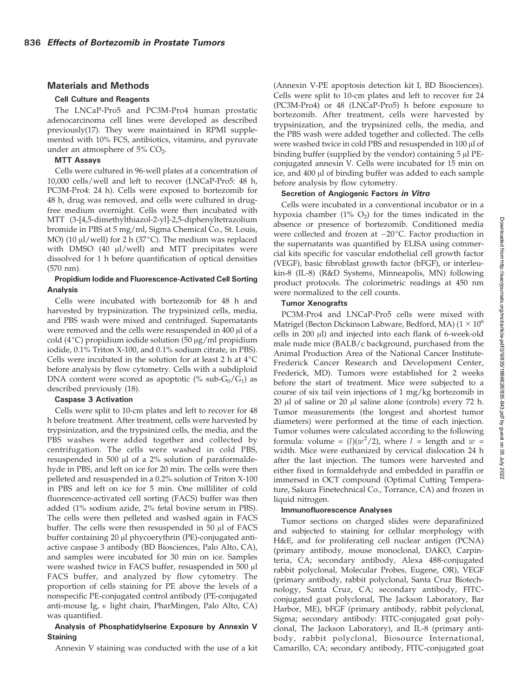#### Materials and Methods

#### Cell Culture and Reagents

The LNCaP-Pro5 and PC3M-Pro4 human prostatic adenocarcinoma cell lines were developed as described previously(17). They were maintained in RPMI supplemented with 10% FCS, antibiotics, vitamins, and pyruvate under an atmosphere of  $5\%$  CO<sub>2</sub>.

#### MTT Assays

Cells were cultured in 96-well plates at a concentration of 10,000 cells/well and left to recover (LNCaP-Pro5: 48 h, PC3M-Pro4: 24 h). Cells were exposed to bortezomib for 48 h, drug was removed, and cells were cultured in drugfree medium overnight. Cells were then incubated with MTT (3-[4,5-dimethylthiazol-2-yl]-2,5-diphenyltetrazolium bromide in PBS at 5 mg/ml, Sigma Chemical Co., St. Louis, MO) (10  $\mu$ l/well) for 2 h (37°C). The medium was replaced with DMSO (40  $\mu$ l/well) and MTT precipitates were dissolved for 1 h before quantification of optical densities (570 nm).

#### Propidium Iodide and Fluorescence-Activated Cell Sorting Analysis

Cells were incubated with bortezomib for 48 h and harvested by trypsinization. The trypsinized cells, media, and PBS wash were mixed and centrifuged. Supernatants were removed and the cells were resuspended in 400 µl of a cold (4 $\degree$ C) propidium iodide solution (50 µg/ml propidium iodide, 0.1% Triton X-100, and 0.1% sodium citrate, in PBS). Cells were incubated in the solution for at least 2 h at  $4^{\circ}$ C before analysis by flow cytometry. Cells with a subdiploid DNA content were scored as apoptotic (% sub- $G_0/G_1$ ) as described previously (18).

#### Caspase 3 Activation

Cells were split to 10-cm plates and left to recover for 48 h before treatment. After treatment, cells were harvested by trypsinization, and the trypsinized cells, the media, and the PBS washes were added together and collected by centrifugation. The cells were washed in cold PBS, resuspended in 500  $\mu$ l of a 2% solution of paraformaldehyde in PBS, and left on ice for 20 min. The cells were then pelleted and resuspended in a 0.2% solution of Triton X-100 in PBS and left on ice for 5 min. One milliliter of cold fluorescence-activated cell sorting (FACS) buffer was then added (1% sodium azide, 2% fetal bovine serum in PBS). The cells were then pelleted and washed again in FACS buffer. The cells were then resuspended in  $50 \mu l$  of FACS buffer containing 20 µl phycoerythrin (PE)-conjugated antiactive caspase 3 antibody (BD Biosciences, Palo Alto, CA), and samples were incubated for 30 min on ice. Samples were washed twice in FACS buffer, resuspended in 500 µl FACS buffer, and analyzed by flow cytometry. The proportion of cells staining for PE above the levels of a nonspecific PE-conjugated control antibody (PE-conjugated anti-mouse Ig,  $\kappa$  light chain, PharMingen, Palo Alto, CA) was quantified.

#### Analysis of Phosphatidylserine Exposure by Annexin V **Staining**

Annexin V staining was conducted with the use of a kit

(Annexin V-PE apoptosis detection kit I, BD Biosciences). Cells were split to 10-cm plates and left to recover for 24 (PC3M-Pro4) or 48 (LNCaP-Pro5) h before exposure to bortezomib. After treatment, cells were harvested by trypsinization, and the trypsinized cells, the media, and the PBS wash were added together and collected. The cells were washed twice in cold PBS and resuspended in  $100 \mu$ l of binding buffer (supplied by the vendor) containing  $5 \mu$ l PEconjugated annexin V. Cells were incubated for 15 min on ice, and 400 µl of binding buffer was added to each sample before analysis by flow cytometry.

## Secretion of Angiogenic Factors in Vitro

Cells were incubated in a conventional incubator or in a hypoxia chamber (1%  $O_2$ ) for the times indicated in the absence or presence of bortezomib. Conditioned media were collected and frozen at  $-20^{\circ}$ C. Factor production in the supernatants was quantified by ELISA using commercial kits specific for vascular endothelial cell growth factor (VEGF), basic fibroblast growth factor (bFGF), or interleukin-8 (IL-8) (R&D Systems, Minneapolis, MN) following product protocols. The colorimetric readings at 450 nm were normalized to the cell counts.

#### Tumor Xenografts

PC3M-Pro4 and LNCaP-Pro5 cells were mixed with Matrigel (Becton Dickinson Labware, Bedford, MA) (1  $\times$   $10^6$ cells in 200  $\mu$ l) and injected into each flank of 6-week-old male nude mice (BALB/c background, purchased from the Animal Production Area of the National Cancer Institute-Frederick Cancer Research and Development Center, Frederick, MD). Tumors were established for 2 weeks before the start of treatment. Mice were subjected to a course of six tail vein injections of 1 mg/kg bortezomib in  $20 \mu l$  of saline or  $20 \mu l$  saline alone (controls) every  $72 \ h$ . Tumor measurements (the longest and shortest tumor diameters) were performed at the time of each injection. Tumor volumes were calculated according to the following formula: volume =  $(l)(w^2/2)$ , where  $l$  = length and  $w =$ width. Mice were euthanized by cervical dislocation 24 h after the last injection. The tumors were harvested and either fixed in formaldehyde and embedded in paraffin or immersed in OCT compound (Optimal Cutting Temperature, Sakura Finetechnical Co., Torrance, CA) and frozen in liquid nitrogen.

#### Immunofluorescence Analyses

Tumor sections on charged slides were deparafinized and subjected to staining for cellular morphology with H&E, and for proliferating cell nuclear antigen (PCNA) (primary antibody, mouse monoclonal, DAKO, Carpinteria, CA; secondary antibody, Alexa 488-conjugated rabbit polyclonal, Molecular Probes, Eugene, OR), VEGF (primary antibody, rabbit polyclonal, Santa Cruz Biotechnology, Santa Cruz, CA; secondary antibody, FITCconjugated goat polyclonal, The Jackson Laboratory, Bar Harbor, ME), bFGF (primary antibody, rabbit polyclonal, Sigma; secondary antibody: FITC-conjugated goat polyclonal, The Jackson Laboratory), and IL-8 (primary antibody, rabbit polyclonal, Biosource International, Camarillo, CA; secondary antibody, FITC-conjugated goat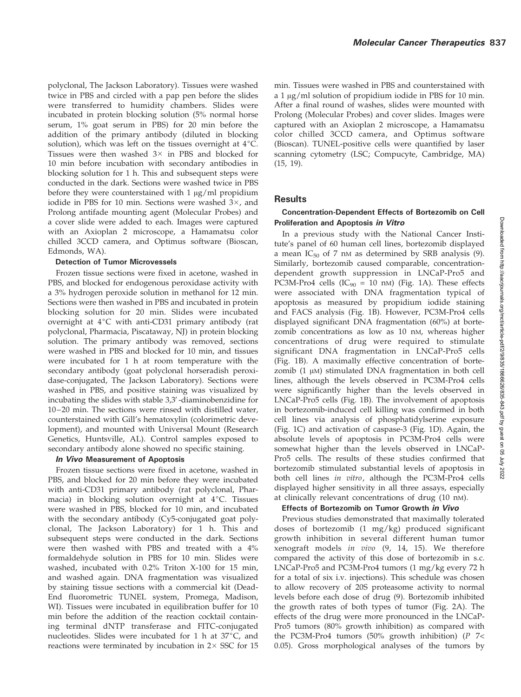polyclonal, The Jackson Laboratory). Tissues were washed twice in PBS and circled with a pap pen before the slides were transferred to humidity chambers. Slides were incubated in protein blocking solution (5% normal horse serum, 1% goat serum in PBS) for 20 min before the addition of the primary antibody (diluted in blocking solution), which was left on the tissues overnight at  $4^{\circ}$ C. Tissues were then washed  $3\times$  in PBS and blocked for 10 min before incubation with secondary antibodies in blocking solution for 1 h. This and subsequent steps were conducted in the dark. Sections were washed twice in PBS before they were counterstained with  $1 \mu g/ml$  propidium iodide in PBS for 10 min. Sections were washed  $3\times$ , and Prolong antifade mounting agent (Molecular Probes) and a cover slide were added to each. Images were captured with an Axioplan 2 microscope, a Hamamatsu color chilled 3CCD camera, and Optimus software (Bioscan, Edmonds, WA).

#### Detection of Tumor Microvessels

Frozen tissue sections were fixed in acetone, washed in PBS, and blocked for endogenous peroxidase activity with a 3% hydrogen peroxide solution in methanol for 12 min. Sections were then washed in PBS and incubated in protein blocking solution for 20 min. Slides were incubated overnight at  $4^{\circ}C$  with anti-CD31 primary antibody (rat polyclonal, Pharmacia, Piscataway, NJ) in protein blocking solution. The primary antibody was removed, sections were washed in PBS and blocked for 10 min, and tissues were incubated for 1 h at room temperature with the secondary antibody (goat polyclonal horseradish peroxidase-conjugated, The Jackson Laboratory). Sections were washed in PBS, and positive staining was visualized by incubating the slides with stable 3,3'-diaminobenzidine for 10–20 min. The sections were rinsed with distilled water, counterstained with Gill's hematoxylin (colorimetric development), and mounted with Universal Mount (Research Genetics, Huntsville, AL). Control samples exposed to secondary antibody alone showed no specific staining.

#### In Vivo Measurement of Apoptosis

Frozen tissue sections were fixed in acetone, washed in PBS, and blocked for 20 min before they were incubated with anti-CD31 primary antibody (rat polyclonal, Pharmacia) in blocking solution overnight at  $4^{\circ}$ C. Tissues were washed in PBS, blocked for 10 min, and incubated with the secondary antibody (Cy5-conjugated goat polyclonal, The Jackson Laboratory) for 1 h. This and subsequent steps were conducted in the dark. Sections were then washed with PBS and treated with a 4% formaldehyde solution in PBS for 10 min. Slides were washed, incubated with 0.2% Triton X-100 for 15 min, and washed again. DNA fragmentation was visualized by staining tissue sections with a commercial kit (Dead-End fluorometric TUNEL system, Promega, Madison, WI). Tissues were incubated in equilibration buffer for 10 min before the addition of the reaction cocktail containing terminal dNTP transferase and FITC-conjugated nucleotides. Slides were incubated for 1 h at  $37^{\circ}$ C, and reactions were terminated by incubation in  $2 \times$  SSC for 15

min. Tissues were washed in PBS and counterstained with a  $1 \mu g/ml$  solution of propidium iodide in PBS for 10 min. After a final round of washes, slides were mounted with Prolong (Molecular Probes) and cover slides. Images were captured with an Axioplan 2 microscope, a Hamamatsu color chilled 3CCD camera, and Optimus software (Bioscan). TUNEL-positive cells were quantified by laser scanning cytometry (LSC; Compucyte, Cambridge, MA) (15, 19).

# Results

## Concentration-Dependent Effects of Bortezomib on Cell Proliferation and Apoptosis in Vitro

In a previous study with the National Cancer Institute's panel of 60 human cell lines, bortezomib displayed a mean  $IC_{50}$  of 7 nM as determined by SRB analysis (9). Similarly, bortezomib caused comparable, concentrationdependent growth suppression in LNCaP-Pro5 and PC3M-Pro4 cells (IC<sub>90</sub> = 10 nm) (Fig. 1A). These effects were associated with DNA fragmentation typical of apoptosis as measured by propidium iodide staining and FACS analysis (Fig. 1B). However, PC3M-Pro4 cells displayed significant DNA fragmentation (60%) at bortezomib concentrations as low as 10 nM, whereas higher concentrations of drug were required to stimulate significant DNA fragmentation in LNCaP-Pro5 cells (Fig. 1B). A maximally effective concentration of bortezomib  $(1 \mu)$  stimulated DNA fragmentation in both cell lines, although the levels observed in PC3M-Pro4 cells were significantly higher than the levels observed in LNCaP-Pro5 cells (Fig. 1B). The involvement of apoptosis in bortezomib-induced cell killing was confirmed in both cell lines via analysis of phosphatidylserine exposure (Fig. 1C) and activation of caspase-3 (Fig. 1D). Again, the absolute levels of apoptosis in PC3M-Pro4 cells were somewhat higher than the levels observed in LNCaP-Pro5 cells. The results of these studies confirmed that bortezomib stimulated substantial levels of apoptosis in both cell lines in vitro, although the PC3M-Pro4 cells displayed higher sensitivity in all three assays, especially at clinically relevant concentrations of drug (10 nM).

### Effects of Bortezomib on Tumor Growth in Vivo

Previous studies demonstrated that maximally tolerated doses of bortezomib (1 mg/kg) produced significant growth inhibition in several different human tumor xenograft models in vivo (9, 14, 15). We therefore compared the activity of this dose of bortezomib in s.c. LNCaP-Pro5 and PC3M-Pro4 tumors (1 mg/kg every 72 h for a total of six i.v. injections). This schedule was chosen to allow recovery of 20S proteasome activity to normal levels before each dose of drug (9). Bortezomib inhibited the growth rates of both types of tumor (Fig. 2A). The effects of the drug were more pronounced in the LNCaP-Pro5 tumors (80% growth inhibition) as compared with the PC3M-Pro4 tumors (50% growth inhibition) (P 7< 0.05). Gross morphological analyses of the tumors by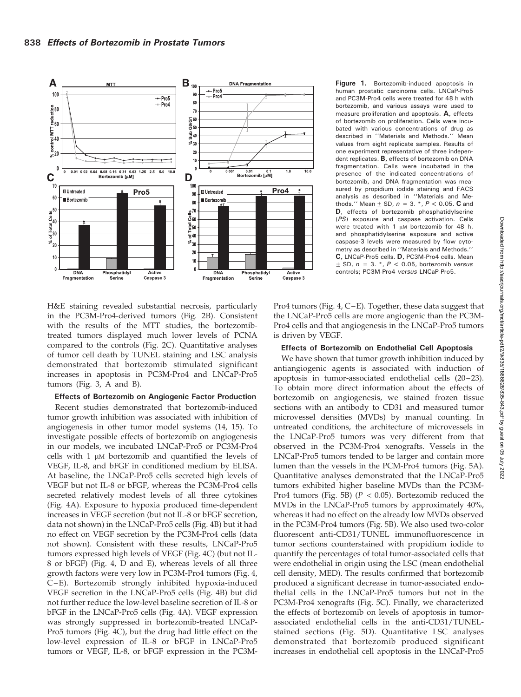

Figure 1. Bortezomib-induced apoptosis in human prostatic carcinoma cells. LNCaP-Pro5 and PC3M-Pro4 cells were treated for 48 h with bortezomib, and various assays were used to measure proliferation and apoptosis. A, effects of bortezomib on proliferation. Cells were incubated with various concentrations of drug as described in ''Materials and Methods.'' Mean values from eight replicate samples. Results of one experiment representative of three independent replicates. B, effects of bortezomib on DNA fragmentation. Cells were incubated in the presence of the indicated concentrations of bortezomib, and DNA fragmentation was measured by propidium iodide staining and FACS analysis as described in ''Materials and Methods.'' Mean  $\pm$  SD,  $n = 3$ .  $^{*}$ ,  $P < 0.05$ . C and D, effects of bortezomib phosphatidylserine (PS) exposure and caspase activation. Cells were treated with 1  $\mu$ M bortezomib for 48 h, and phosphatidylserine exposure and active caspase-3 levels were measured by flow cytometry as described in ''Materials and Methods.'' C, LNCaP-Pro5 cells. D, PC3M-Pro4 cells. Mean  $\pm$  SD,  $n = 3.$  \*,  $P < 0.05$ , bortezomib versus controls; PC3M-Pro4 versus LNCaP-Pro5.

H&E staining revealed substantial necrosis, particularly in the PC3M-Pro4-derived tumors (Fig. 2B). Consistent with the results of the MTT studies, the bortezomibtreated tumors displayed much lower levels of PCNA compared to the controls (Fig. 2C). Quantitative analyses of tumor cell death by TUNEL staining and LSC analysis demonstrated that bortezomib stimulated significant increases in apoptosis in PC3M-Pro4 and LNCaP-Pro5 tumors (Fig. 3, A and B).

#### Effects of Bortezomib on Angiogenic Factor Production

Recent studies demonstrated that bortezomib-induced tumor growth inhibition was associated with inhibition of angiogenesis in other tumor model systems (14, 15). To investigate possible effects of bortezomib on angiogenesis in our models, we incubated LNCaP-Pro5 or PC3M-Pro4 cells with  $1 \mu$ M bortezomib and quantified the levels of VEGF, IL-8, and bFGF in conditioned medium by ELISA. At baseline, the LNCaP-Pro5 cells secreted high levels of VEGF but not IL-8 or bFGF, whereas the PC3M-Pro4 cells secreted relatively modest levels of all three cytokines (Fig. 4A). Exposure to hypoxia produced time-dependent increases in VEGF secretion (but not IL-8 or bFGF secretion, data not shown) in the LNCaP-Pro5 cells (Fig. 4B) but it had no effect on VEGF secretion by the PC3M-Pro4 cells (data not shown). Consistent with these results, LNCaP-Pro5 tumors expressed high levels of VEGF (Fig. 4C) (but not IL-8 or bFGF) (Fig. 4, D and E), whereas levels of all three growth factors were very low in PC3M-Pro4 tumors (Fig. 4, C–E). Bortezomib strongly inhibited hypoxia-induced VEGF secretion in the LNCaP-Pro5 cells (Fig. 4B) but did not further reduce the low-level baseline secretion of IL-8 or bFGF in the LNCaP-Pro5 cells (Fig. 4A). VEGF expression was strongly suppressed in bortezomib-treated LNCaP-Pro5 tumors (Fig. 4C), but the drug had little effect on the low-level expression of IL-8 or bFGF in LNCaP-Pro5 tumors or VEGF, IL-8, or bFGF expression in the PC3M-

Pro4 tumors (Fig. 4, C–E). Together, these data suggest that the LNCaP-Pro5 cells are more angiogenic than the PC3M-Pro4 cells and that angiogenesis in the LNCaP-Pro5 tumors is driven by VEGF.

#### Effects of Bortezomib on Endothelial Cell Apoptosis

We have shown that tumor growth inhibition induced by antiangiogenic agents is associated with induction of apoptosis in tumor-associated endothelial cells (20–23). To obtain more direct information about the effects of bortezomib on angiogenesis, we stained frozen tissue sections with an antibody to CD31 and measured tumor microvessel densities (MVDs) by manual counting. In untreated conditions, the architecture of microvessels in the LNCaP-Pro5 tumors was very different from that observed in the PC3M-Pro4 xenografts. Vessels in the LNCaP-Pro5 tumors tended to be larger and contain more lumen than the vessels in the PCM-Pro4 tumors (Fig. 5A). Quantitative analyses demonstrated that the LNCaP-Pro5 tumors exhibited higher baseline MVDs than the PC3M-Pro4 tumors (Fig. 5B) ( $P < 0.05$ ). Bortezomib reduced the MVDs in the LNCaP-Pro5 tumors by approximately 40%, whereas it had no effect on the already low MVDs observed in the PC3M-Pro4 tumors (Fig. 5B). We also used two-color fluorescent anti-CD31/TUNEL immunofluorescence in tumor sections counterstained with propidium iodide to quantify the percentages of total tumor-associated cells that were endothelial in origin using the LSC (mean endothelial cell density, MED). The results confirmed that bortezomib produced a significant decrease in tumor-associated endothelial cells in the LNCaP-Pro5 tumors but not in the PC3M-Pro4 xenografts (Fig. 5C). Finally, we characterized the effects of bortezomib on levels of apoptosis in tumorassociated endothelial cells in the anti-CD31/TUNELstained sections (Fig. 5D). Quantitative LSC analyses demonstrated that bortezomib produced significant increases in endothelial cell apoptosis in the LNCaP-Pro5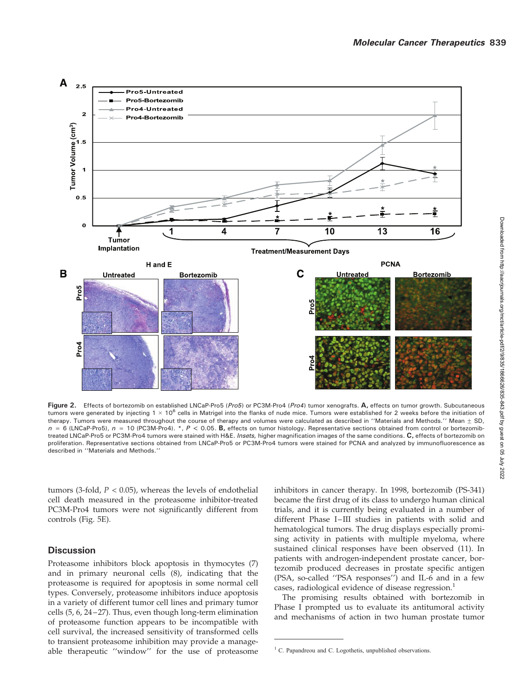

Figure 2. Effects of bortezomib on established LNCaP-Pro5 (Pro5) or PC3M-Pro4 (Pro4) tumor xenografts. A, effects on tumor growth. Subcutaneous tumors were generated by injecting 1  $\times$  10<sup>6</sup> cells in Matrigel into the flanks of nude mice. Tumors were established for 2 weeks before the initiation of therapy. Tumors were measured throughout the course of therapy and volumes were calculated as described in "Materials and Methods." Mean  $\pm$  SD,  $n = 6$  (LNCaP-Pro5),  $n = 10$  (PC3M-Pro4). \*,  $P < 0.05$ . B, effects on tumor histology. Representative sections obtained from control or bortezomibtreated LNCaP-Pro5 or PC3M-Pro4 tumors were stained with H&E. Insets, higher magnification images of the same conditions. C, effects of bortezomib on proliferation. Representative sections obtained from LNCaP-Pro5 or PC3M-Pro4 tumors were stained for PCNA and analyzed by immunofluorescence as described in ''Materials and Methods.''

tumors (3-fold,  $P < 0.05$ ), whereas the levels of endothelial cell death measured in the proteasome inhibitor-treated PC3M-Pro4 tumors were not significantly different from controls (Fig. 5E).

# **Discussion**

Proteasome inhibitors block apoptosis in thymocytes (7) and in primary neuronal cells (8), indicating that the proteasome is required for apoptosis in some normal cell types. Conversely, proteasome inhibitors induce apoptosis in a variety of different tumor cell lines and primary tumor cells (5, 6, 24–27). Thus, even though long-term elimination of proteasome function appears to be incompatible with cell survival, the increased sensitivity of transformed cells to transient proteasome inhibition may provide a manageable therapeutic ''window'' for the use of proteasome inhibitors in cancer therapy. In 1998, bortezomib (PS-341) became the first drug of its class to undergo human clinical trials, and it is currently being evaluated in a number of different Phase I–III studies in patients with solid and hematological tumors. The drug displays especially promising activity in patients with multiple myeloma, where sustained clinical responses have been observed (11). In patients with androgen-independent prostate cancer, bortezomib produced decreases in prostate specific antigen (PSA, so-called ''PSA responses'') and IL-6 and in a few cases, radiological evidence of disease regression. $<sup>1</sup>$ </sup>

The promising results obtained with bortezomib in Phase I prompted us to evaluate its antitumoral activity and mechanisms of action in two human prostate tumor

 $<sup>1</sup>$  C. Papandreou and C. Logothetis, unpublished observations.</sup>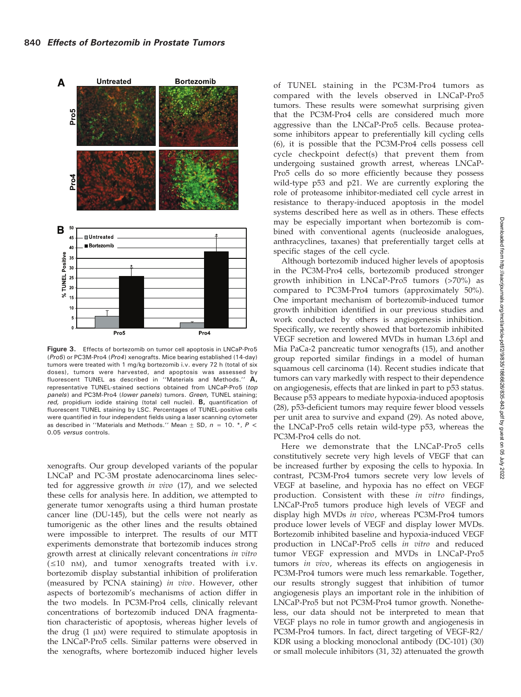

Figure 3. Effects of bortezomib on tumor cell apoptosis in LNCaP-Pro5 (Pro5) or PC3M-Pro4 (Pro4) xenografts. Mice bearing established (14-day) tumors were treated with 1 mg/kg bortezomib i.v. every 72 h (total of six doses), tumors were harvested, and apoptosis was assessed by fluorescent TUNEL as described in ''Materials and Methods.'' A, representative TUNEL-stained sections obtained from LNCaP-Pro5 (top panels) and PC3M-Pro4 (lower panels) tumors. Green, TUNEL staining; red, propidium iodide staining (total cell nuclei). **B**, quantification of fluorescent TUNEL staining by LSC. Percentages of TUNEL-positive cells were quantified in four independent fields using a laser scanning cytometer as described in "Materials and Methods." Mean  $\pm$  SD, n = 10.  $^*$ , P < 0.05 versus controls.

xenografts. Our group developed variants of the popular LNCaP and PC-3M prostate adenocarcinoma lines selected for aggressive growth in vivo (17), and we selected these cells for analysis here. In addition, we attempted to generate tumor xenografts using a third human prostate cancer line (DU-145), but the cells were not nearly as tumorigenic as the other lines and the results obtained were impossible to interpret. The results of our MTT experiments demonstrate that bortezomib induces strong growth arrest at clinically relevant concentrations in vitro  $(\leq 10 \text{ nm})$ , and tumor xenografts treated with i.v. bortezomib display substantial inhibition of proliferation (measured by PCNA staining) in vivo. However, other aspects of bortezomib's mechanisms of action differ in the two models. In PC3M-Pro4 cells, clinically relevant concentrations of bortezomib induced DNA fragmentation characteristic of apoptosis, whereas higher levels of the drug  $(1 \mu)$  were required to stimulate apoptosis in the LNCaP-Pro5 cells. Similar patterns were observed in the xenografts, where bortezomib induced higher levels

of TUNEL staining in the PC3M-Pro4 tumors as compared with the levels observed in LNCaP-Pro5 tumors. These results were somewhat surprising given that the PC3M-Pro4 cells are considered much more aggressive than the LNCaP-Pro5 cells. Because proteasome inhibitors appear to preferentially kill cycling cells (6), it is possible that the PC3M-Pro4 cells possess cell cycle checkpoint defect(s) that prevent them from undergoing sustained growth arrest, whereas LNCaP-Pro5 cells do so more efficiently because they possess wild-type p53 and p21. We are currently exploring the role of proteasome inhibitor-mediated cell cycle arrest in resistance to therapy-induced apoptosis in the model systems described here as well as in others. These effects may be especially important when bortezomib is combined with conventional agents (nucleoside analogues, anthracyclines, taxanes) that preferentially target cells at specific stages of the cell cycle.

Although bortezomib induced higher levels of apoptosis in the PC3M-Pro4 cells, bortezomib produced stronger growth inhibition in LNCaP-Pro5 tumors (>70%) as compared to PC3M-Pro4 tumors (approximately 50%). One important mechanism of bortezomib-induced tumor growth inhibition identified in our previous studies and work conducted by others is angiogenesis inhibition. Specifically, we recently showed that bortezomib inhibited VEGF secretion and lowered MVDs in human L3.6pl and Mia PaCa-2 pancreatic tumor xenografts (15), and another group reported similar findings in a model of human squamous cell carcinoma (14). Recent studies indicate that tumors can vary markedly with respect to their dependence on angiogenesis, effects that are linked in part to p53 status. Because p53 appears to mediate hypoxia-induced apoptosis (28), p53-deficient tumors may require fewer blood vessels per unit area to survive and expand (29). As noted above, the LNCaP-Pro5 cells retain wild-type p53, whereas the PC3M-Pro4 cells do not.

Here we demonstrate that the LNCaP-Pro5 cells constitutively secrete very high levels of VEGF that can be increased further by exposing the cells to hypoxia. In contrast, PC3M-Pro4 tumors secrete very low levels of VEGF at baseline, and hypoxia has no effect on VEGF production. Consistent with these in vitro findings, LNCaP-Pro5 tumors produce high levels of VEGF and display high MVDs in vivo, whereas PC3M-Pro4 tumors produce lower levels of VEGF and display lower MVDs. Bortezomib inhibited baseline and hypoxia-induced VEGF production in LNCaP-Pro5 cells in vitro and reduced tumor VEGF expression and MVDs in LNCaP-Pro5 tumors in vivo, whereas its effects on angiogenesis in PC3M-Pro4 tumors were much less remarkable. Together, our results strongly suggest that inhibition of tumor angiogenesis plays an important role in the inhibition of LNCaP-Pro5 but not PC3M-Pro4 tumor growth. Nonetheless, our data should not be interpreted to mean that VEGF plays no role in tumor growth and angiogenesis in PC3M-Pro4 tumors. In fact, direct targeting of VEGF-R2/ KDR using a blocking monoclonal antibody (DC-101) (30) or small molecule inhibitors (31, 32) attenuated the growth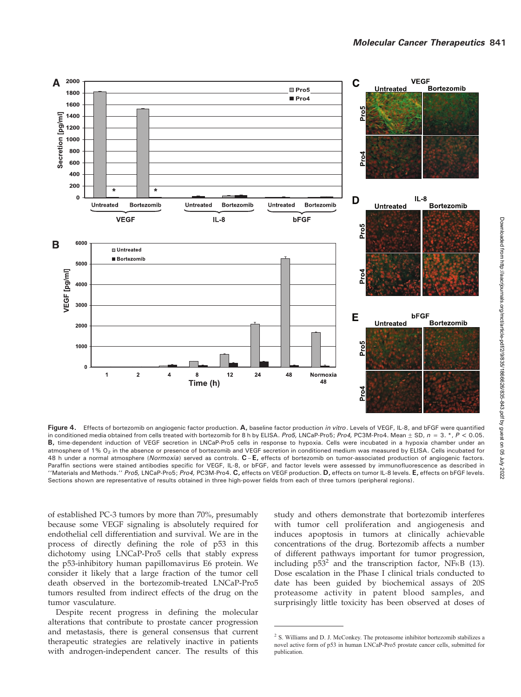

Figure 4. Effects of bortezomib on angiogenic factor production. A, baseline factor production in vitro. Levels of VEGF, IL-8, and bFGF were quantified in conditioned media obtained from cells treated with bortezomib for 8 h by ELISA. Pro5, LNCaP-Pro5; Pro4, PC3M-Pro4. Mean  $\pm$  SD,  $n = 3. * P < 0.05$ . B, time-dependent induction of VEGF secretion in LNCaP-Pro5 cells in response to hypoxia. Cells were incubated in a hypoxia chamber under an atmosphere of 1% O<sub>2</sub> in the absence or presence of bortezomib and VEGF secretion in conditioned medium was measured by ELISA. Cells incubated for 48 h under a normal atmosphere (Normoxia) served as controls. C-E, effects of bortezomib on tumor-associated production of angiogenic factors. Paraffin sections were stained antibodies specific for VEGF, IL-8, or bFGF, and factor levels were assessed by immunofluorescence as described in "Materials and Methods." Pro5, LNCaP-Pro5; Pro4, PC3M-Pro4. C, effects on VEGF production. D, effects on tumor IL-8 levels. E, effects on bFGF levels. Sections shown are representative of results obtained in three high-power fields from each of three tumors (peripheral regions).

of established PC-3 tumors by more than 70%, presumably because some VEGF signaling is absolutely required for endothelial cell differentiation and survival. We are in the process of directly defining the role of p53 in this dichotomy using LNCaP-Pro5 cells that stably express the p53-inhibitory human papillomavirus E6 protein. We consider it likely that a large fraction of the tumor cell death observed in the bortezomib-treated LNCaP-Pro5 tumors resulted from indirect effects of the drug on the tumor vasculature.

Despite recent progress in defining the molecular alterations that contribute to prostate cancer progression and metastasis, there is general consensus that current therapeutic strategies are relatively inactive in patients with androgen-independent cancer. The results of this study and others demonstrate that bortezomib interferes with tumor cell proliferation and angiogenesis and induces apoptosis in tumors at clinically achievable concentrations of the drug. Bortezomib affects a number of different pathways important for tumor progression, including  $p53^2$  and the transcription factor, NF $\kappa$ B (13). Dose escalation in the Phase I clinical trials conducted to date has been guided by biochemical assays of 20S proteasome activity in patent blood samples, and surprisingly little toxicity has been observed at doses of

<sup>&</sup>lt;sup>2</sup> S. Williams and D. J. McConkey. The proteasome inhibitor bortezomib stabilizes a novel active form of p53 in human LNCaP-Pro5 prostate cancer cells, submitted for publication.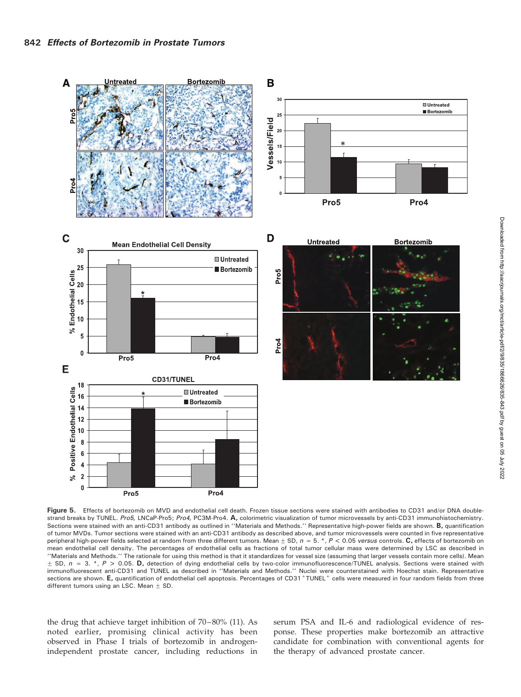

Figure 5. Effects of bortezomib on MVD and endothelial cell death. Frozen tissue sections were stained with antibodies to CD31 and/or DNA doublestrand breaks by TUNEL. Pro5, LNCaP-Pro5; Pro4, PC3M-Pro4. A, colorimetric visualization of tumor microvessels by anti-CD31 immunohistochemistry. Sections were stained with an anti-CD31 antibody as outlined in "Materials and Methods." Representative high-power fields are shown. B, quantification of tumor MVDs. Tumor sections were stained with an anti-CD31 antibody as described above, and tumor microvessels were counted in five representative peripheral high-power fields selected at random from three different tumors. Mean  $\pm$  SD,  $n = 5$ . \*,  $P < 0.05$  versus controls. C, effects of bortezomib on mean endothelial cell density. The percentages of endothelial cells as fractions of total tumor cellular mass were determined by LSC as described in ''Materials and Methods.'' The rationale for using this method is that it standardizes for vessel size (assuming that larger vessels contain more cells). Mean  $\pm$  SD,  $n = 3$ . \*,  $P > 0.05$ . D, detection of dying endothelial cells by two-color immunofluorescence/TUNEL analysis. Sections were stained with immunofluorescent anti-CD31 and TUNEL as described in ''Materials and Methods.'' Nuclei were counterstained with Hoechst stain. Representative sections are shown. E, quantification of endothelial cell apoptosis. Percentages of CD31+TUNEL+ cells were measured in four random fields from three different tumors using an LSC. Mean  $\pm$  SD.

the drug that achieve target inhibition of 70–80% (11). As noted earlier, promising clinical activity has been observed in Phase I trials of bortezomib in androgenindependent prostate cancer, including reductions in

serum PSA and IL-6 and radiological evidence of response. These properties make bortezomib an attractive candidate for combination with conventional agents for the therapy of advanced prostate cancer.